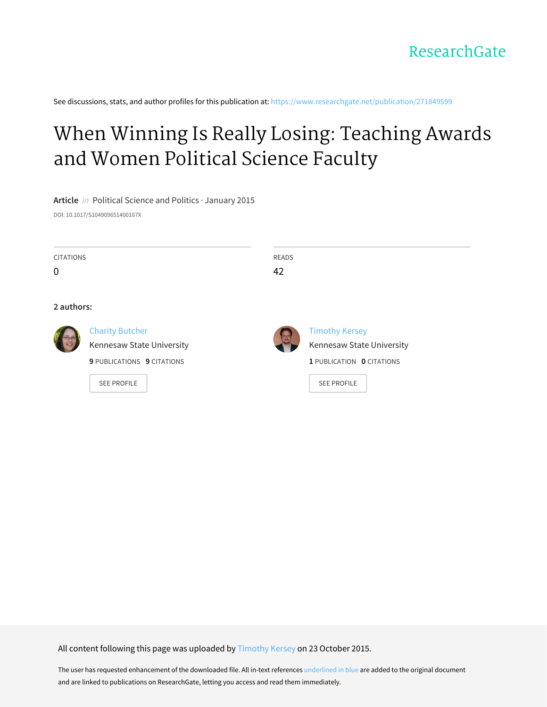See discussions, stats, and author profiles for this publication at: [https://www.researchgate.net/publication/271849599](https://www.researchgate.net/publication/271849599_When_Winning_Is_Really_Losing_Teaching_Awards_and_Women_Political_Science_Faculty?enrichId=rgreq-83dbeea9e010f1ea30b65a770826aa0a-XXX&enrichSource=Y292ZXJQYWdlOzI3MTg0OTU5OTtBUzoyODc3MjE1MTI4MTY2NDBAMTQ0NTYwOTU2MjA5OQ%3D%3D&el=1_x_2&_esc=publicationCoverPdf)

# When Winning Is Really Losing: [Teaching](https://www.researchgate.net/publication/271849599_When_Winning_Is_Really_Losing_Teaching_Awards_and_Women_Political_Science_Faculty?enrichId=rgreq-83dbeea9e010f1ea30b65a770826aa0a-XXX&enrichSource=Y292ZXJQYWdlOzI3MTg0OTU5OTtBUzoyODc3MjE1MTI4MTY2NDBAMTQ0NTYwOTU2MjA5OQ%3D%3D&el=1_x_3&_esc=publicationCoverPdf) Awards and Women Political Science Faculty

**Article** in Political Science and Politics · January 2015 DOI: 10.1017/S104909651400167X

| <b>CITATIONS</b><br>$\mathbf 0$ |                                                                                   | <b>READS</b><br>42 |                                                                                 |
|---------------------------------|-----------------------------------------------------------------------------------|--------------------|---------------------------------------------------------------------------------|
| 2 authors:                      |                                                                                   |                    |                                                                                 |
|                                 | <b>Charity Butcher</b><br>Kennesaw State University<br>9 PUBLICATIONS 9 CITATIONS |                    | <b>Timothy Kersey</b><br>Kennesaw State University<br>1 PUBLICATION 0 CITATIONS |
|                                 | <b>SEE PROFILE</b>                                                                |                    | <b>SEE PROFILE</b>                                                              |

All content following this page was uploaded by [Timothy](https://www.researchgate.net/profile/Timothy_Kersey?enrichId=rgreq-83dbeea9e010f1ea30b65a770826aa0a-XXX&enrichSource=Y292ZXJQYWdlOzI3MTg0OTU5OTtBUzoyODc3MjE1MTI4MTY2NDBAMTQ0NTYwOTU2MjA5OQ%3D%3D&el=1_x_10&_esc=publicationCoverPdf) Kersey on 23 October 2015.

The user has requested enhancement of the downloaded file. All in-text references underlined in blue are added to the original document and are linked to publications on ResearchGate, letting you access and read them immediately.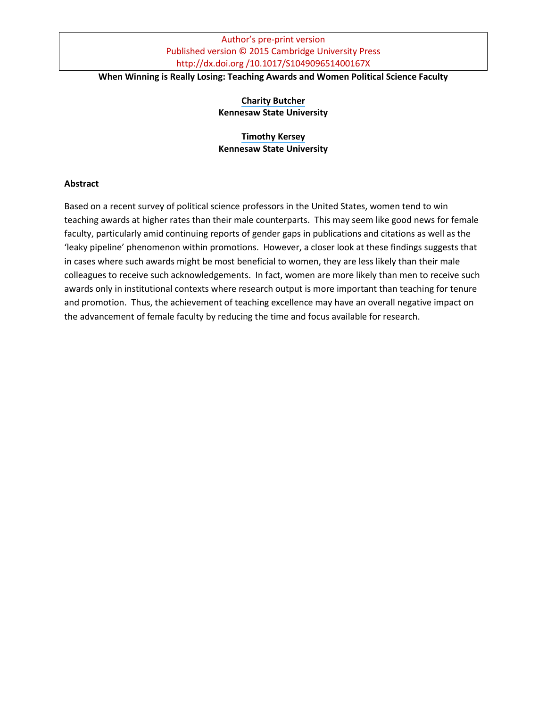#### **When Winning is Really Losing: Teaching Awards and Women Political Science Faculty**

#### **[Charity Butcher](https://www.researchgate.net/profile/Charity_Butcher?el=1_x_100&enrichId=rgreq-83dbeea9e010f1ea30b65a770826aa0a-XXX&enrichSource=Y292ZXJQYWdlOzI3MTg0OTU5OTtBUzoyODc3MjE1MTI4MTY2NDBAMTQ0NTYwOTU2MjA5OQ==) Kennesaw State University**

#### **[Timothy Kersey](https://www.researchgate.net/profile/Timothy_Kersey?el=1_x_100&enrichId=rgreq-83dbeea9e010f1ea30b65a770826aa0a-XXX&enrichSource=Y292ZXJQYWdlOzI3MTg0OTU5OTtBUzoyODc3MjE1MTI4MTY2NDBAMTQ0NTYwOTU2MjA5OQ==) Kennesaw State University**

#### **Abstract**

Based on a recent survey of political science professors in the United States, women tend to win teaching awards at higher rates than their male counterparts. This may seem like good news for female faculty, particularly amid continuing reports of gender gaps in publications and citations as well as the 'leaky pipeline' phenomenon within promotions. However, a closer look at these findings suggests that in cases where such awards might be most beneficial to women, they are less likely than their male colleagues to receive such acknowledgements. In fact, women are more likely than men to receive such awards only in institutional contexts where research output is more important than teaching for tenure and promotion. Thus, the achievement of teaching excellence may have an overall negative impact on the advancement of female faculty by reducing the time and focus available for research.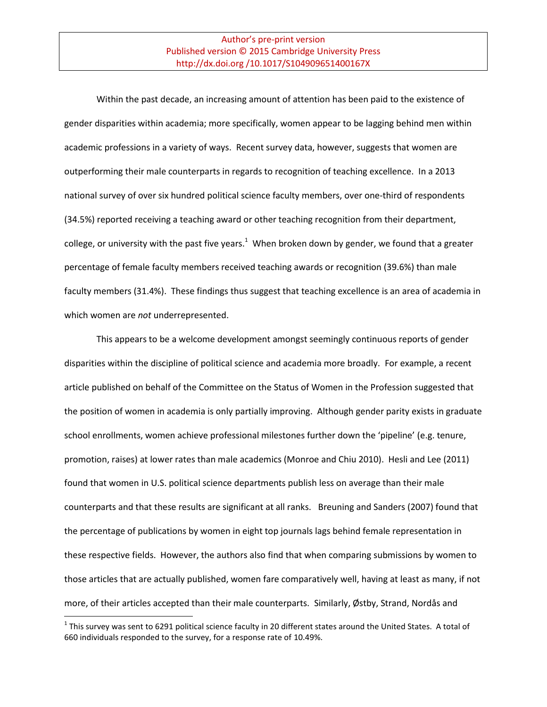Within the past decade, an increasing amount of attention has been paid to the existence of gender disparities within academia; more specifically, women appear to be lagging behind men within academic professions in a variety of ways. Recent survey data, however, suggests that women are outperforming their male counterparts in regards to recognition of teaching excellence. In a 2013 national survey of over six hundred political science faculty members, over one-third of respondents (34.5%) reported receiving a teaching award or other teaching recognition from their department, college, or university with the past five years.<sup>1</sup> When broken down by gender, we found that a greater percentage of female faculty members received teaching awards or recognition (39.6%) than male faculty members (31.4%). These findings thus suggest that teaching excellence is an area of academia in which women are *not* underrepresented.

This appears to be a welcome development amongst seemingly continuous reports of gender disparities within the discipline of political science and academia more broadly. For example, a recent article published on behalf of the Committee on the Status of Women in the Profession suggested that the position of women in academia is only partially improving. Although gender parity exists in graduate school enrollments, women achieve professional milestones further down the 'pipeline' (e.g. tenure, promotion, raises) at lower rates than male academics (Monroe and Chiu 2010). Hesli and Lee (2011) found that women in U.S. political science departments publish less on average than their male counterparts and that these results are significant at all ranks. Breuning and Sanders (2007) found that the percentage of publications by women in eight top journals lags behind female representation in these respective fields. However, the authors also find that when comparing submissions by women to those articles that are actually published, women fare comparatively well, having at least as many, if not more, of their articles accepted than their male counterparts. Similarly, Østby, Strand, Nordås and

l

 $^1$  This survey was sent to 6291 political science faculty in 20 different states around the United States. A total of 660 individuals responded to the survey, for a response rate of 10.49%.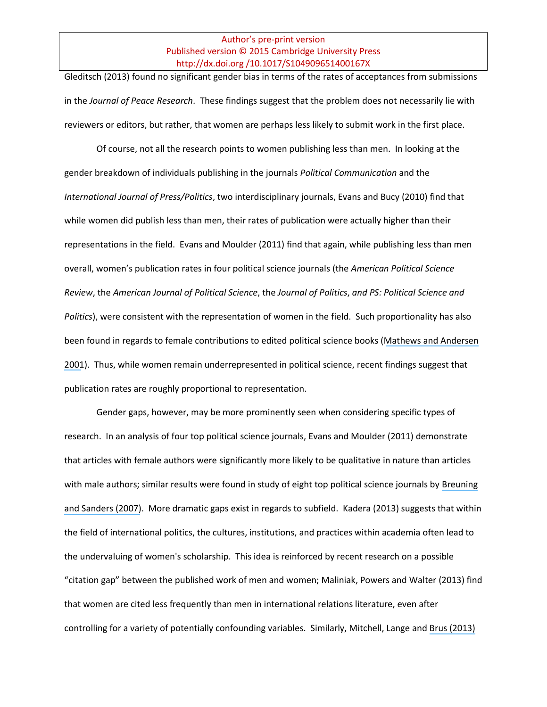Gleditsch (2013) found no significant gender bias in terms of the rates of acceptances from submissions in the *Journal of Peace Research*. These findings suggest that the problem does not necessarily lie with reviewers or editors, but rather, that women are perhaps less likely to submit work in the first place.

Of course, not all the research points to women publishing less than men. In looking at the gender breakdown of individuals publishing in the journals *Political Communication* and the *International Journal of Press/Politics*, two interdisciplinary journals, Evans and Bucy (2010) find that while women did publish less than men, their rates of publication were actually higher than their representations in the field. Evans and Moulder (2011) find that again, while publishing less than men overall, women's publication rates in four political science journals (the *American Political Science Review*, the *American Journal of Political Science*, the *Journal of Politics*, *and PS: Political Science and Politics*), were consistent with the representation of women in the field. Such proportionality has also been found in regards to female contributions to edited political science books ([Mathews and Andersen](https://www.researchgate.net/publication/231964682_A_Gender_Gap_in_Publishing_Women) [2001](https://www.researchgate.net/publication/231964682_A_Gender_Gap_in_Publishing_Women)). Thus, while women remain underrepresented in political science, recent findings suggest that publication rates are roughly proportional to representation.

Gender gaps, however, may be more prominently seen when considering specific types of research. In an analysis of four top political science journals, Evans and Moulder (2011) demonstrate that articles with female authors were significantly more likely to be qualitative in nature than articles with male authors; similar results were found in study of eight top political science journals by [Breuning](https://www.researchgate.net/publication/231981332_Gender_and_Journal_Authorship_in_Eight_Prestigious_Political_Science_Journals?el=1_x_8&enrichId=rgreq-83dbeea9e010f1ea30b65a770826aa0a-XXX&enrichSource=Y292ZXJQYWdlOzI3MTg0OTU5OTtBUzoyODc3MjE1MTI4MTY2NDBAMTQ0NTYwOTU2MjA5OQ==) [and Sanders \(2007\)](https://www.researchgate.net/publication/231981332_Gender_and_Journal_Authorship_in_Eight_Prestigious_Political_Science_Journals?el=1_x_8&enrichId=rgreq-83dbeea9e010f1ea30b65a770826aa0a-XXX&enrichSource=Y292ZXJQYWdlOzI3MTg0OTU5OTtBUzoyODc3MjE1MTI4MTY2NDBAMTQ0NTYwOTU2MjA5OQ==). More dramatic gaps exist in regards to subfield. Kadera (2013) suggests that within the field of international politics, the cultures, institutions, and practices within academia often lead to the undervaluing of women's scholarship. This idea is reinforced by recent research on a possible "citation gap" between the published work of men and women; Maliniak, Powers and Walter (2013) find that women are cited less frequently than men in international relations literature, even after controlling for a variety of potentially confounding variables. Similarly, Mitchell, Lange and [Brus \(2013\)](https://www.researchgate.net/publication/259549991_Gendered_Citation_Patterns_in_International_Relations_Journals?el=1_x_8&enrichId=rgreq-83dbeea9e010f1ea30b65a770826aa0a-XXX&enrichSource=Y292ZXJQYWdlOzI3MTg0OTU5OTtBUzoyODc3MjE1MTI4MTY2NDBAMTQ0NTYwOTU2MjA5OQ==)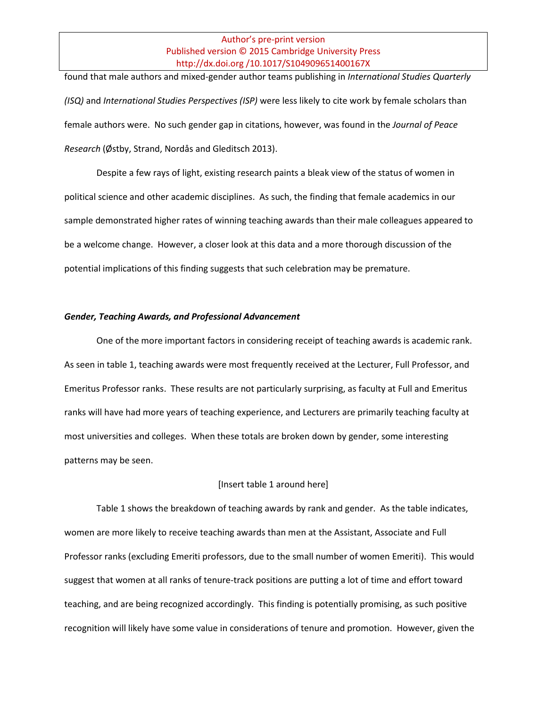found that male authors and mixed-gender author teams publishing in *International Studies Quarterly (ISQ)* and *International Studies Perspectives (ISP)* were less likely to cite work by female scholars than female authors were. No such gender gap in citations, however, was found in the *Journal of Peace Research* (Østby, Strand, Nordås and Gleditsch 2013).

Despite a few rays of light, existing research paints a bleak view of the status of women in political science and other academic disciplines. As such, the finding that female academics in our sample demonstrated higher rates of winning teaching awards than their male colleagues appeared to be a welcome change. However, a closer look at this data and a more thorough discussion of the potential implications of this finding suggests that such celebration may be premature.

#### *Gender, Teaching Awards, and Professional Advancement*

One of the more important factors in considering receipt of teaching awards is academic rank. As seen in table 1, teaching awards were most frequently received at the Lecturer, Full Professor, and Emeritus Professor ranks. These results are not particularly surprising, as faculty at Full and Emeritus ranks will have had more years of teaching experience, and Lecturers are primarily teaching faculty at most universities and colleges. When these totals are broken down by gender, some interesting patterns may be seen.

#### [Insert table 1 around here]

Table 1 shows the breakdown of teaching awards by rank and gender. As the table indicates, women are more likely to receive teaching awards than men at the Assistant, Associate and Full Professor ranks (excluding Emeriti professors, due to the small number of women Emeriti). This would suggest that women at all ranks of tenure-track positions are putting a lot of time and effort toward teaching, and are being recognized accordingly. This finding is potentially promising, as such positive recognition will likely have some value in considerations of tenure and promotion. However, given the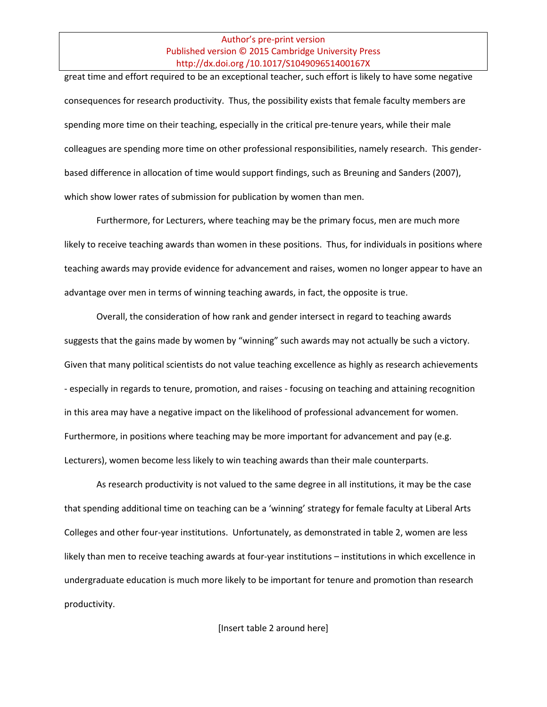great time and effort required to be an exceptional teacher, such effort is likely to have some negative consequences for research productivity. Thus, the possibility exists that female faculty members are spending more time on their teaching, especially in the critical pre-tenure years, while their male colleagues are spending more time on other professional responsibilities, namely research. This genderbased difference in allocation of time would support findings, such as Breuning and Sanders (2007), which show lower rates of submission for publication by women than men.

Furthermore, for Lecturers, where teaching may be the primary focus, men are much more likely to receive teaching awards than women in these positions. Thus, for individuals in positions where teaching awards may provide evidence for advancement and raises, women no longer appear to have an advantage over men in terms of winning teaching awards, in fact, the opposite is true.

Overall, the consideration of how rank and gender intersect in regard to teaching awards suggests that the gains made by women by "winning" such awards may not actually be such a victory. Given that many political scientists do not value teaching excellence as highly as research achievements - especially in regards to tenure, promotion, and raises - focusing on teaching and attaining recognition in this area may have a negative impact on the likelihood of professional advancement for women. Furthermore, in positions where teaching may be more important for advancement and pay (e.g. Lecturers), women become less likely to win teaching awards than their male counterparts.

As research productivity is not valued to the same degree in all institutions, it may be the case that spending additional time on teaching can be a 'winning' strategy for female faculty at Liberal Arts Colleges and other four-year institutions. Unfortunately, as demonstrated in table 2, women are less likely than men to receive teaching awards at four-year institutions – institutions in which excellence in undergraduate education is much more likely to be important for tenure and promotion than research productivity.

[Insert table 2 around here]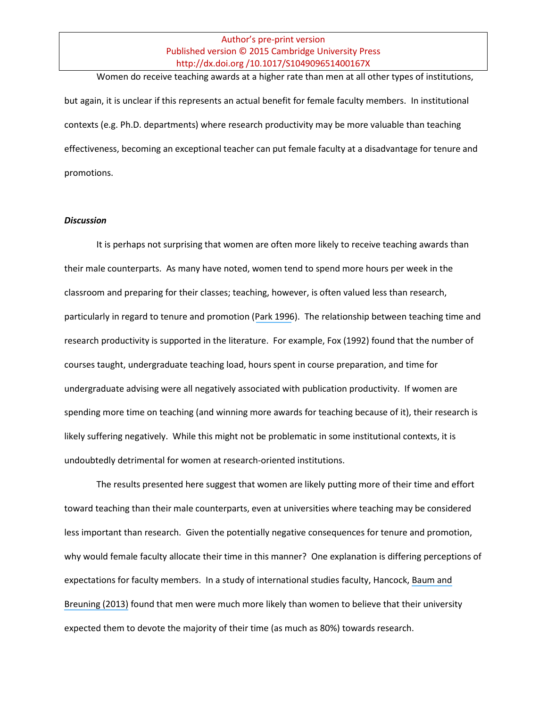Women do receive teaching awards at a higher rate than men at all other types of institutions, but again, it is unclear if this represents an actual benefit for female faculty members. In institutional contexts (e.g. Ph.D. departments) where research productivity may be more valuable than teaching effectiveness, becoming an exceptional teacher can put female faculty at a disadvantage for tenure and promotions.

#### *Discussion*

It is perhaps not surprising that women are often more likely to receive teaching awards than their male counterparts. As many have noted, women tend to spend more hours per week in the classroom and preparing for their classes; teaching, however, is often valued less than research, particularly in regard to tenure and promotion ([Park 1996](https://www.researchgate.net/publication/271961078_Research_Teaching_and_Service_Why_Shouldn)). The relationship between teaching time and research productivity is supported in the literature. For example, Fox (1992) found that the number of courses taught, undergraduate teaching load, hours spent in course preparation, and time for undergraduate advising were all negatively associated with publication productivity. If women are spending more time on teaching (and winning more awards for teaching because of it), their research is likely suffering negatively. While this might not be problematic in some institutional contexts, it is undoubtedly detrimental for women at research-oriented institutions.

The results presented here suggest that women are likely putting more of their time and effort toward teaching than their male counterparts, even at universities where teaching may be considered less important than research. Given the potentially negative consequences for tenure and promotion, why would female faculty allocate their time in this manner? One explanation is differing perceptions of expectations for faculty members. In a study of international studies faculty, Hancock, [Baum and](https://www.researchgate.net/publication/259550349_Women_and_Pre-Tenure_Scholarly_Productivity_in_International_Studies_An_Investigation_into_the_Leaky_Career_Pipeline?el=1_x_8&enrichId=rgreq-83dbeea9e010f1ea30b65a770826aa0a-XXX&enrichSource=Y292ZXJQYWdlOzI3MTg0OTU5OTtBUzoyODc3MjE1MTI4MTY2NDBAMTQ0NTYwOTU2MjA5OQ==) [Breuning \(2013\)](https://www.researchgate.net/publication/259550349_Women_and_Pre-Tenure_Scholarly_Productivity_in_International_Studies_An_Investigation_into_the_Leaky_Career_Pipeline?el=1_x_8&enrichId=rgreq-83dbeea9e010f1ea30b65a770826aa0a-XXX&enrichSource=Y292ZXJQYWdlOzI3MTg0OTU5OTtBUzoyODc3MjE1MTI4MTY2NDBAMTQ0NTYwOTU2MjA5OQ==) found that men were much more likely than women to believe that their university expected them to devote the majority of their time (as much as 80%) towards research.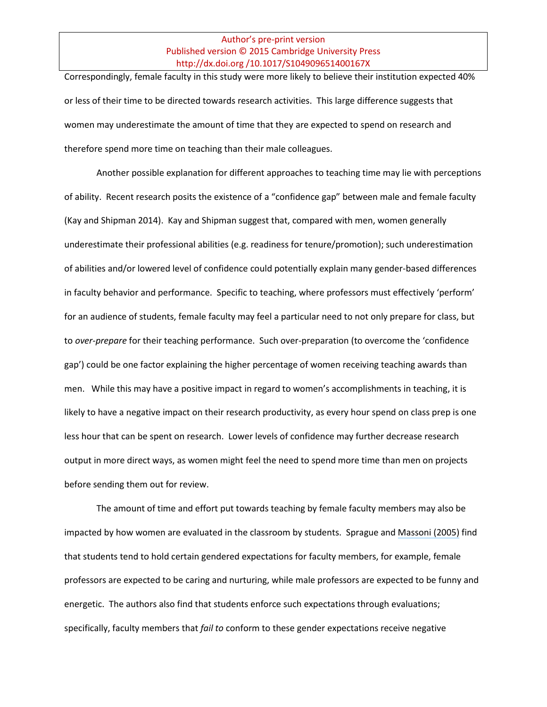Correspondingly, female faculty in this study were more likely to believe their institution expected 40% or less of their time to be directed towards research activities. This large difference suggests that women may underestimate the amount of time that they are expected to spend on research and therefore spend more time on teaching than their male colleagues.

Another possible explanation for different approaches to teaching time may lie with perceptions of ability. Recent research posits the existence of a "confidence gap" between male and female faculty (Kay and Shipman 2014). Kay and Shipman suggest that, compared with men, women generally underestimate their professional abilities (e.g. readiness for tenure/promotion); such underestimation of abilities and/or lowered level of confidence could potentially explain many gender-based differences in faculty behavior and performance. Specific to teaching, where professors must effectively 'perform' for an audience of students, female faculty may feel a particular need to not only prepare for class, but to *over-prepare* for their teaching performance. Such over-preparation (to overcome the 'confidence gap') could be one factor explaining the higher percentage of women receiving teaching awards than men. While this may have a positive impact in regard to women's accomplishments in teaching, it is likely to have a negative impact on their research productivity, as every hour spend on class prep is one less hour that can be spent on research. Lower levels of confidence may further decrease research output in more direct ways, as women might feel the need to spend more time than men on projects before sending them out for review.

The amount of time and effort put towards teaching by female faculty members may also be impacted by how women are evaluated in the classroom by students. Sprague and [Massoni \(2005\)](https://www.researchgate.net/publication/227320290_Student_Evaluations_and_Gendered_Expectations_What_We_Can) find that students tend to hold certain gendered expectations for faculty members, for example, female professors are expected to be caring and nurturing, while male professors are expected to be funny and energetic. The authors also find that students enforce such expectations through evaluations; specifically, faculty members that *fail to* conform to these gender expectations receive negative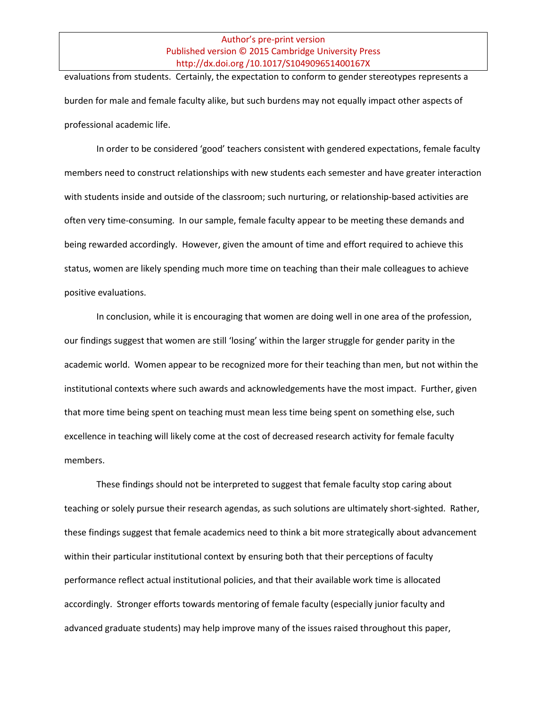evaluations from students. Certainly, the expectation to conform to gender stereotypes represents a burden for male and female faculty alike, but such burdens may not equally impact other aspects of professional academic life.

In order to be considered 'good' teachers consistent with gendered expectations, female faculty members need to construct relationships with new students each semester and have greater interaction with students inside and outside of the classroom; such nurturing, or relationship-based activities are often very time-consuming. In our sample, female faculty appear to be meeting these demands and being rewarded accordingly. However, given the amount of time and effort required to achieve this status, women are likely spending much more time on teaching than their male colleagues to achieve positive evaluations.

In conclusion, while it is encouraging that women are doing well in one area of the profession, our findings suggest that women are still 'losing' within the larger struggle for gender parity in the academic world. Women appear to be recognized more for their teaching than men, but not within the institutional contexts where such awards and acknowledgements have the most impact. Further, given that more time being spent on teaching must mean less time being spent on something else, such excellence in teaching will likely come at the cost of decreased research activity for female faculty members.

These findings should not be interpreted to suggest that female faculty stop caring about teaching or solely pursue their research agendas, as such solutions are ultimately short-sighted. Rather, these findings suggest that female academics need to think a bit more strategically about advancement within their particular institutional context by ensuring both that their perceptions of faculty performance reflect actual institutional policies, and that their available work time is allocated accordingly. Stronger efforts towards mentoring of female faculty (especially junior faculty and advanced graduate students) may help improve many of the issues raised throughout this paper,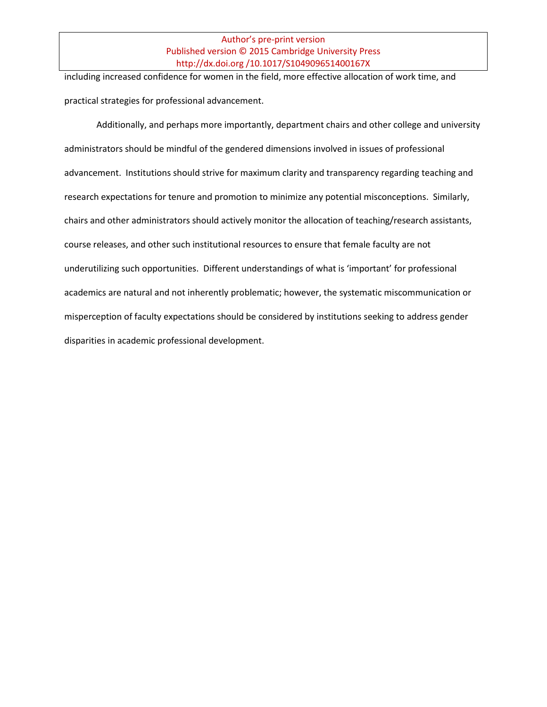including increased confidence for women in the field, more effective allocation of work time, and practical strategies for professional advancement.

Additionally, and perhaps more importantly, department chairs and other college and university administrators should be mindful of the gendered dimensions involved in issues of professional advancement. Institutions should strive for maximum clarity and transparency regarding teaching and research expectations for tenure and promotion to minimize any potential misconceptions. Similarly, chairs and other administrators should actively monitor the allocation of teaching/research assistants, course releases, and other such institutional resources to ensure that female faculty are not underutilizing such opportunities. Different understandings of what is 'important' for professional academics are natural and not inherently problematic; however, the systematic miscommunication or misperception of faculty expectations should be considered by institutions seeking to address gender disparities in academic professional development.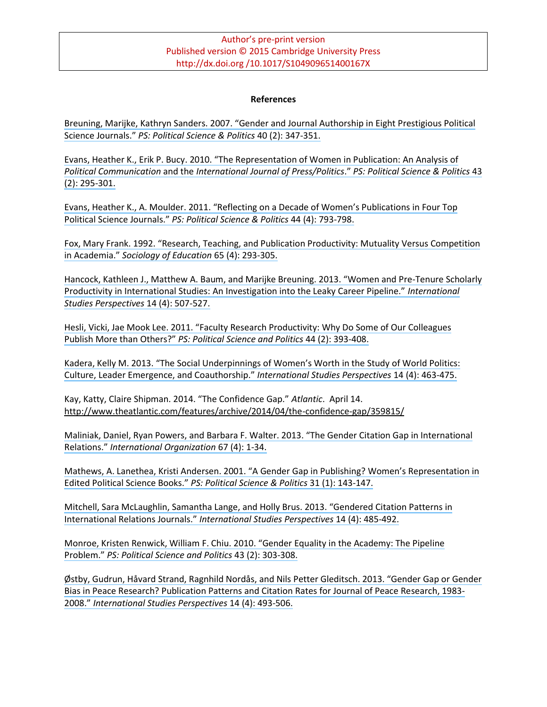#### **References**

[Breuning, Marijke, Kathryn Sanders. 2007. "Gender and Journal Authorship in Eight Prestigious Political](https://www.researchgate.net/publication/231981332_Gender_and_Journal_Authorship_in_Eight_Prestigious_Political_Science_Journals?el=1_x_8&enrichId=rgreq-83dbeea9e010f1ea30b65a770826aa0a-XXX&enrichSource=Y292ZXJQYWdlOzI3MTg0OTU5OTtBUzoyODc3MjE1MTI4MTY2NDBAMTQ0NTYwOTU2MjA5OQ==) Science Journals." *[PS: Political Science & Politics](https://www.researchgate.net/publication/231981332_Gender_and_Journal_Authorship_in_Eight_Prestigious_Political_Science_Journals?el=1_x_8&enrichId=rgreq-83dbeea9e010f1ea30b65a770826aa0a-XXX&enrichSource=Y292ZXJQYWdlOzI3MTg0OTU5OTtBUzoyODc3MjE1MTI4MTY2NDBAMTQ0NTYwOTU2MjA5OQ==)* 40 (2): 347-351.

Evans, Heather K., [Erik P. Bucy. 2010. "The Representation of Women in Publication: An Analysis of](https://www.researchgate.net/publication/232027443_The_Representation_of_Women_in_Publication_An_Analysis_of_Political_Communication_and_the_International_Journal_of_PressPolitics?el=1_x_8&enrichId=rgreq-83dbeea9e010f1ea30b65a770826aa0a-XXX&enrichSource=Y292ZXJQYWdlOzI3MTg0OTU5OTtBUzoyODc3MjE1MTI4MTY2NDBAMTQ0NTYwOTU2MjA5OQ==) *Political Communication* and the *[International Journal of Press/Politics](https://www.researchgate.net/publication/232027443_The_Representation_of_Women_in_Publication_An_Analysis_of_Political_Communication_and_the_International_Journal_of_PressPolitics?el=1_x_8&enrichId=rgreq-83dbeea9e010f1ea30b65a770826aa0a-XXX&enrichSource=Y292ZXJQYWdlOzI3MTg0OTU5OTtBUzoyODc3MjE1MTI4MTY2NDBAMTQ0NTYwOTU2MjA5OQ==)*." *PS: Political Science & Politics* 43 [\(2\): 295-301.](https://www.researchgate.net/publication/232027443_The_Representation_of_Women_in_Publication_An_Analysis_of_Political_Communication_and_the_International_Journal_of_PressPolitics?el=1_x_8&enrichId=rgreq-83dbeea9e010f1ea30b65a770826aa0a-XXX&enrichSource=Y292ZXJQYWdlOzI3MTg0OTU5OTtBUzoyODc3MjE1MTI4MTY2NDBAMTQ0NTYwOTU2MjA5OQ==)

Evans, Heather K., A. Mou[lder. 2011. "Reflecting on a Decade of Women's Publications in Four Top](https://www.researchgate.net/publication/228163163_Reflecting_on_a_Decade_of_Women) Political Science Journals." *[PS: Political Science & Politics](https://www.researchgate.net/publication/228163163_Reflecting_on_a_Decade_of_Women)* 44 (4): 793-798.

[Fox, Mary Frank. 1992. "Research, Teaching, and Publication Productivity: Mutuality Versus Competition](https://www.researchgate.net/publication/261103742_Research_Teaching_and_Publication_Productivity_Mutuality_Versus_Competition_in_Academia?el=1_x_8&enrichId=rgreq-83dbeea9e010f1ea30b65a770826aa0a-XXX&enrichSource=Y292ZXJQYWdlOzI3MTg0OTU5OTtBUzoyODc3MjE1MTI4MTY2NDBAMTQ0NTYwOTU2MjA5OQ==)  in Academia." *[Sociology of Education](https://www.researchgate.net/publication/261103742_Research_Teaching_and_Publication_Productivity_Mutuality_Versus_Competition_in_Academia?el=1_x_8&enrichId=rgreq-83dbeea9e010f1ea30b65a770826aa0a-XXX&enrichSource=Y292ZXJQYWdlOzI3MTg0OTU5OTtBUzoyODc3MjE1MTI4MTY2NDBAMTQ0NTYwOTU2MjA5OQ==)* 65 (4): 293-305.

Hancock, Kathleen J., Matthew A. Baum, [and Marijke Breuning. 2013. "Women and Pre](https://www.researchgate.net/publication/259550349_Women_and_Pre-Tenure_Scholarly_Productivity_in_International_Studies_An_Investigation_into_the_Leaky_Career_Pipeline?el=1_x_8&enrichId=rgreq-83dbeea9e010f1ea30b65a770826aa0a-XXX&enrichSource=Y292ZXJQYWdlOzI3MTg0OTU5OTtBUzoyODc3MjE1MTI4MTY2NDBAMTQ0NTYwOTU2MjA5OQ==)-Tenure Scholarly [Productivity in International Studies: An Investigation into the Leaky Career Pipeline."](https://www.researchgate.net/publication/259550349_Women_and_Pre-Tenure_Scholarly_Productivity_in_International_Studies_An_Investigation_into_the_Leaky_Career_Pipeline?el=1_x_8&enrichId=rgreq-83dbeea9e010f1ea30b65a770826aa0a-XXX&enrichSource=Y292ZXJQYWdlOzI3MTg0OTU5OTtBUzoyODc3MjE1MTI4MTY2NDBAMTQ0NTYwOTU2MjA5OQ==) *International [Studies Perspectives](https://www.researchgate.net/publication/259550349_Women_and_Pre-Tenure_Scholarly_Productivity_in_International_Studies_An_Investigation_into_the_Leaky_Career_Pipeline?el=1_x_8&enrichId=rgreq-83dbeea9e010f1ea30b65a770826aa0a-XXX&enrichSource=Y292ZXJQYWdlOzI3MTg0OTU5OTtBUzoyODc3MjE1MTI4MTY2NDBAMTQ0NTYwOTU2MjA5OQ==)* 14 (4): 507-527.

Hesli, Vicki, [Jae Mook Lee. 2011. "Faculty Research Productivity: Why Do Some of Our Colleagues](https://www.researchgate.net/publication/278215825_Faculty_Research_Productivity_Why_Do_Some_of_Our_Colleagues_Publish_More_than_Others?el=1_x_8&enrichId=rgreq-83dbeea9e010f1ea30b65a770826aa0a-XXX&enrichSource=Y292ZXJQYWdlOzI3MTg0OTU5OTtBUzoyODc3MjE1MTI4MTY2NDBAMTQ0NTYwOTU2MjA5OQ==) Publish More than Others?" *[PS: Political Science and Politics](https://www.researchgate.net/publication/278215825_Faculty_Research_Productivity_Why_Do_Some_of_Our_Colleagues_Publish_More_than_Others?el=1_x_8&enrichId=rgreq-83dbeea9e010f1ea30b65a770826aa0a-XXX&enrichSource=Y292ZXJQYWdlOzI3MTg0OTU5OTtBUzoyODc3MjE1MTI4MTY2NDBAMTQ0NTYwOTU2MjA5OQ==)* 44 (2): 393-408.

[Kadera, Kelly M. 2013. "The Social Underpinnings of Women's Worth in the Study of World Politics:](https://www.researchgate.net/publication/259550345_The_Social_Underpinnings_of_Women) [Culture, Leader Emergence, and Coauthorship."](https://www.researchgate.net/publication/259550345_The_Social_Underpinnings_of_Women) *International Studies Perspectives* 14 (4): 463-475.

Kay, Katty, Claire Shipman. 2014. "The Confidence Gap." *Atlantic*. April 14. <http://www.theatlantic.com/features/archive/2014/04/the-confidence-gap/359815/>

Maliniak, Daniel, Ryan Powers, [and Barbara F. Walter. 2013. "The Gender Citation Gap in International](https://www.researchgate.net/publication/259436796_The_Gender_Citation_Gap_in_International_Relations?el=1_x_8&enrichId=rgreq-83dbeea9e010f1ea30b65a770826aa0a-XXX&enrichSource=Y292ZXJQYWdlOzI3MTg0OTU5OTtBUzoyODc3MjE1MTI4MTY2NDBAMTQ0NTYwOTU2MjA5OQ==) Relations." *[International Organization](https://www.researchgate.net/publication/259436796_The_Gender_Citation_Gap_in_International_Relations?el=1_x_8&enrichId=rgreq-83dbeea9e010f1ea30b65a770826aa0a-XXX&enrichSource=Y292ZXJQYWdlOzI3MTg0OTU5OTtBUzoyODc3MjE1MTI4MTY2NDBAMTQ0NTYwOTU2MjA5OQ==)* 67 (4): 1-34.

Mathews, A. Lanethea, [Kristi Andersen. 2001. "A Gender Gap in Publishing? Women's Representation in](https://www.researchgate.net/publication/231964682_A_Gender_Gap_in_Publishing_Women)  [Edited Political Science Books."](https://www.researchgate.net/publication/231964682_A_Gender_Gap_in_Publishing_Women) *PS: Political Science & Politics* 31 (1): 143-147.

Mitchell, Sara McL[aughlin, Samantha Lange, and Holly Brus. 2013. "Gendered Citation Patterns in](https://www.researchgate.net/publication/259549991_Gendered_Citation_Patterns_in_International_Relations_Journals?el=1_x_8&enrichId=rgreq-83dbeea9e010f1ea30b65a770826aa0a-XXX&enrichSource=Y292ZXJQYWdlOzI3MTg0OTU5OTtBUzoyODc3MjE1MTI4MTY2NDBAMTQ0NTYwOTU2MjA5OQ==)  [International Relations Journals."](https://www.researchgate.net/publication/259549991_Gendered_Citation_Patterns_in_International_Relations_Journals?el=1_x_8&enrichId=rgreq-83dbeea9e010f1ea30b65a770826aa0a-XXX&enrichSource=Y292ZXJQYWdlOzI3MTg0OTU5OTtBUzoyODc3MjE1MTI4MTY2NDBAMTQ0NTYwOTU2MjA5OQ==) *International Studies Perspectives* 14 (4): 485-492.

Monroe, Kristen Renwick, [William F. Chiu. 2010. "Gender Equality in the Academy: The Pipel](https://www.researchgate.net/publication/232026981_Gender_Equality_in_the_Academy_The_Pipeline_Problem?el=1_x_8&enrichId=rgreq-83dbeea9e010f1ea30b65a770826aa0a-XXX&enrichSource=Y292ZXJQYWdlOzI3MTg0OTU5OTtBUzoyODc3MjE1MTI4MTY2NDBAMTQ0NTYwOTU2MjA5OQ==)ine Problem." *[PS: Political Science and Politics](https://www.researchgate.net/publication/232026981_Gender_Equality_in_the_Academy_The_Pipeline_Problem?el=1_x_8&enrichId=rgreq-83dbeea9e010f1ea30b65a770826aa0a-XXX&enrichSource=Y292ZXJQYWdlOzI3MTg0OTU5OTtBUzoyODc3MjE1MTI4MTY2NDBAMTQ0NTYwOTU2MjA5OQ==)* 43 (2): 303-308.

Østby, Gudrun, Håvard Strand, Ragnhild Nordås, [and Nils Petter Gleditsch. 2013. "Gender Gap or Gender](https://www.researchgate.net/publication/259549987_Gender_Gap_or_Gender_Bias_in_Peace_Research_Publication_Patterns_and_Citation_Rates_for_Journal_of_Peace_Research_1983-2008?el=1_x_8&enrichId=rgreq-83dbeea9e010f1ea30b65a770826aa0a-XXX&enrichSource=Y292ZXJQYWdlOzI3MTg0OTU5OTtBUzoyODc3MjE1MTI4MTY2NDBAMTQ0NTYwOTU2MjA5OQ==) [Bias in Peace Research? Publication Patterns and Citation Rates for Journal of Peace Research, 1983-](https://www.researchgate.net/publication/259549987_Gender_Gap_or_Gender_Bias_in_Peace_Research_Publication_Patterns_and_Citation_Rates_for_Journal_of_Peace_Research_1983-2008?el=1_x_8&enrichId=rgreq-83dbeea9e010f1ea30b65a770826aa0a-XXX&enrichSource=Y292ZXJQYWdlOzI3MTg0OTU5OTtBUzoyODc3MjE1MTI4MTY2NDBAMTQ0NTYwOTU2MjA5OQ==) 2008." *[International Studies Perspectives](https://www.researchgate.net/publication/259549987_Gender_Gap_or_Gender_Bias_in_Peace_Research_Publication_Patterns_and_Citation_Rates_for_Journal_of_Peace_Research_1983-2008?el=1_x_8&enrichId=rgreq-83dbeea9e010f1ea30b65a770826aa0a-XXX&enrichSource=Y292ZXJQYWdlOzI3MTg0OTU5OTtBUzoyODc3MjE1MTI4MTY2NDBAMTQ0NTYwOTU2MjA5OQ==)* 14 (4): 493-506.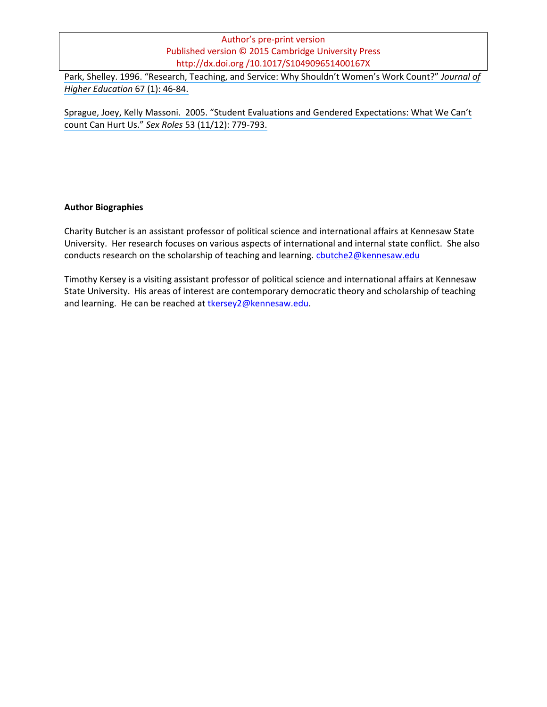[Park, Shelley. 1996. "Research, Teaching, and Service: Why Shouldn't Women's Work Count?"](https://www.researchgate.net/publication/271961078_Research_Teaching_and_Service_Why_Shouldn) *Journal of [Higher Education](https://www.researchgate.net/publication/271961078_Research_Teaching_and_Service_Why_Shouldn)* 67 (1): 46-84.

Sprague, Joey, [Kelly Massoni. 2005. "Student Evaluations and Gendered Expectations: What We Can't](https://www.researchgate.net/publication/227320290_Student_Evaluations_and_Gendered_Expectations_What_We_Can) [count Can Hurt Us."](https://www.researchgate.net/publication/227320290_Student_Evaluations_and_Gendered_Expectations_What_We_Can) *Sex Roles* 53 (11/12): 779-793.

#### **Author Biographies**

Charity Butcher is an assistant professor of political science and international affairs at Kennesaw State University. Her research focuses on various aspects of international and internal state conflict. She also conducts research on the scholarship of teaching and learning. [cbutche2@kennesaw.edu](mailto:cbutche2@kennesaw.edu)

Timothy Kersey is a visiting assistant professor of political science and international affairs at Kennesaw State University. His areas of interest are contemporary democratic theory and scholarship of teaching and learning. He can be reached a[t tkersey2@kennesaw.edu.](mailto:tkersey2@kennesaw.edu)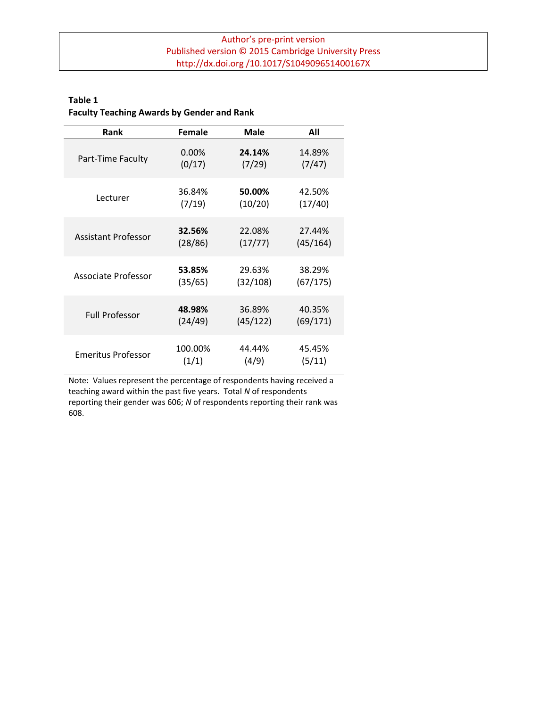## **Table 1 Faculty Teaching Awards by Gender and Rank**

| Rank                       | Female   | Male     | All      |
|----------------------------|----------|----------|----------|
| Part-Time Faculty          | $0.00\%$ | 24.14%   | 14.89%   |
|                            | (0/17)   | (7/29)   | (7/47)   |
| Lecturer                   | 36.84%   | 50.00%   | 42.50%   |
|                            | (7/19)   | (10/20)  | (17/40)  |
| <b>Assistant Professor</b> | 32.56%   | 22.08%   | 27.44%   |
|                            | (28/86)  | (17/77)  | (45/164) |
| Associate Professor        | 53.85%   | 29.63%   | 38.29%   |
|                            | (35/65)  | (32/108) | (67/175) |
| <b>Full Professor</b>      | 48.98%   | 36.89%   | 40.35%   |
|                            | (24/49)  | (45/122) | (69/171) |
| <b>Emeritus Professor</b>  | 100.00%  | 44.44%   | 45.45%   |
|                            | (1/1)    | (4/9)    | (5/11)   |

Note: Values represent the percentage of respondents having received a teaching award within the past five years. Total *N* of respondents reporting their gender was 606; *N* of respondents reporting their rank was 608.